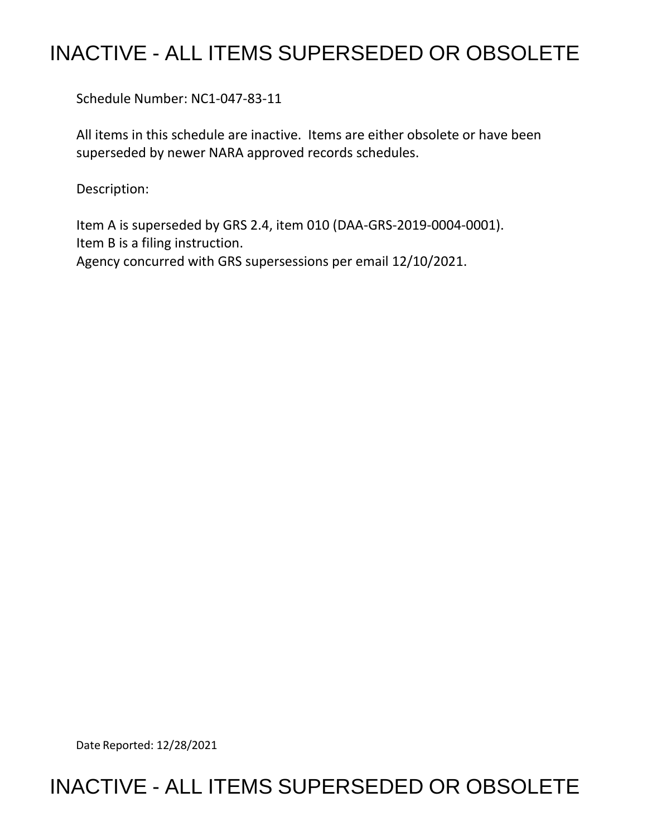## INACTIVE - ALL ITEMS SUPERSEDED OR OBSOLETE

Schedule Number: NC1-047-83-11

 All items in this schedule are inactive. Items are either obsolete or have been superseded by newer NARA approved records schedules.

Description:

 Item A is superseded by GRS 2.4, item 010 (DAA-GRS-2019-0004-0001). Item B is a filing instruction. Agency concurred with GRS supersessions per email 12/10/2021.

Date Reported: 12/28/2021

## INACTIVE - ALL ITEMS SUPERSEDED OR OBSOLETE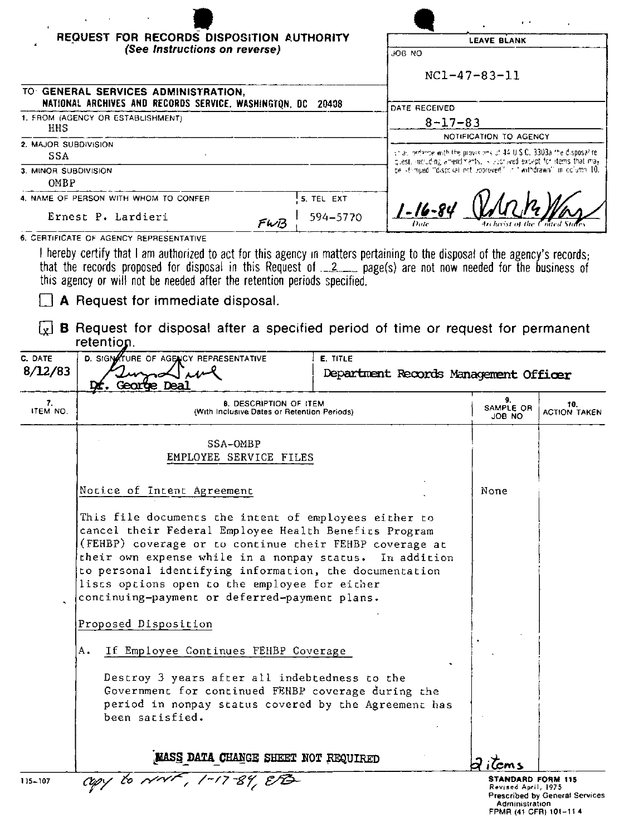| HHS<br>SSA                          | (See Instructions on reverse)                                                                                                                                                                                                                                                                                                                                                        |                                     | JOB NO                                |                                                                                                                                                                                                                     |                            |  |  |
|-------------------------------------|--------------------------------------------------------------------------------------------------------------------------------------------------------------------------------------------------------------------------------------------------------------------------------------------------------------------------------------------------------------------------------------|-------------------------------------|---------------------------------------|---------------------------------------------------------------------------------------------------------------------------------------------------------------------------------------------------------------------|----------------------------|--|--|
|                                     |                                                                                                                                                                                                                                                                                                                                                                                      |                                     |                                       |                                                                                                                                                                                                                     |                            |  |  |
|                                     |                                                                                                                                                                                                                                                                                                                                                                                      |                                     | $NC1 - 47 - 83 - 11$                  |                                                                                                                                                                                                                     |                            |  |  |
|                                     |                                                                                                                                                                                                                                                                                                                                                                                      | TO GENERAL SERVICES ADMINISTRATION, |                                       |                                                                                                                                                                                                                     |                            |  |  |
|                                     | NATIONAL ARCHIVES AND RECORDS SERVICE, WASHINGTON, DC 20408<br>1. FROM (AGENCY OR ESTABLISHMENT)                                                                                                                                                                                                                                                                                     |                                     |                                       | DATE RECEIVED                                                                                                                                                                                                       |                            |  |  |
|                                     |                                                                                                                                                                                                                                                                                                                                                                                      |                                     |                                       | $8 - 17 - 83$                                                                                                                                                                                                       |                            |  |  |
|                                     | 2. MAJOR SUBDIVISION                                                                                                                                                                                                                                                                                                                                                                 |                                     |                                       | NOTIFICATION TO AGENCY                                                                                                                                                                                              |                            |  |  |
|                                     |                                                                                                                                                                                                                                                                                                                                                                                      |                                     |                                       | $\pm$ as potence with the provisions of $44.0$ S.C. 3303a the disposalite.<br>quest, actuding amendments, is aborived except for items that may<br>be stomped. disposal not coproved it it withdrawn, in column 10. |                            |  |  |
| 3. MINOR SUBDIVISION<br><b>OMBP</b> |                                                                                                                                                                                                                                                                                                                                                                                      |                                     |                                       |                                                                                                                                                                                                                     |                            |  |  |
|                                     | 4. NAME OF PERSON WITH WHOM TO CONFER                                                                                                                                                                                                                                                                                                                                                | 5. TEL EXT                          |                                       |                                                                                                                                                                                                                     |                            |  |  |
|                                     | Ernest P. Lardieri                                                                                                                                                                                                                                                                                                                                                                   | 594-5770                            | $1 - 16 - 84$                         |                                                                                                                                                                                                                     |                            |  |  |
|                                     | FWB<br>6. CERTIFICATE OF AGENCY REPRESENTATIVE                                                                                                                                                                                                                                                                                                                                       |                                     |                                       |                                                                                                                                                                                                                     |                            |  |  |
| C. DATE<br>8/12/83                  | A Request for immediate disposal.<br><b>B</b> Request for disposal after a specified period of time or request for permanent<br>retention.<br><b>D. SIGNATURE OF AGENCY REPRESENTATIVE</b>                                                                                                                                                                                           | E. TITLE                            | Department Records Management Officer |                                                                                                                                                                                                                     |                            |  |  |
|                                     | D <b>r.</b> George Dea                                                                                                                                                                                                                                                                                                                                                               |                                     |                                       |                                                                                                                                                                                                                     |                            |  |  |
| 7.<br>ITEM NO.                      | <b>8. DESCRIPTION OF ITEM</b><br>(With Inclusive Dates or Retention Periods)                                                                                                                                                                                                                                                                                                         |                                     |                                       | 9.<br>SAMPLE OR<br>ON 8OL                                                                                                                                                                                           | 10.<br><b>ACTION TAKEN</b> |  |  |
|                                     | SSA-OMBP<br>EMPLOYEE SERVICE FILES                                                                                                                                                                                                                                                                                                                                                   |                                     |                                       |                                                                                                                                                                                                                     |                            |  |  |
|                                     | Notice of Intent Agreement                                                                                                                                                                                                                                                                                                                                                           |                                     |                                       | None                                                                                                                                                                                                                |                            |  |  |
|                                     | This file documents the intent of employees either to<br>cancel their Federal Employee Health Benefits Program<br>(FEHBP) coverage or to continue their FEHBP coverage at<br>their own expense while in a nonpay status.<br>to personal identifying information, the documentation<br>lists options open to the employee for either<br>continuing-payment or deferred-payment plans. | In addition                         |                                       |                                                                                                                                                                                                                     |                            |  |  |
|                                     | Proposed Disposition                                                                                                                                                                                                                                                                                                                                                                 |                                     |                                       |                                                                                                                                                                                                                     |                            |  |  |
|                                     | Α.<br>If Employee Continues FEHBP Coverage                                                                                                                                                                                                                                                                                                                                           |                                     |                                       |                                                                                                                                                                                                                     |                            |  |  |

MASS DATA CHANGE SHEET NOT REQUIRED<br>  $\frac{1}{2}$ 

115-107

 $d$  items **STANDARD FORM 115**<br>Revised April, 1975<br>Prescribed by General Services<br>Administration<br>FPMR (41 CFR) 101-11 4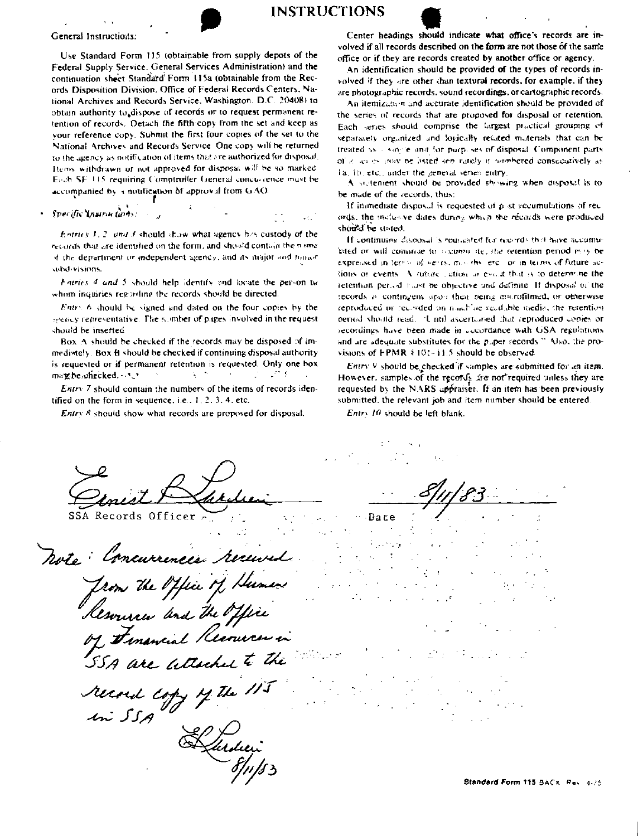

**INSTRUCTIONS** 

General Instructions:

Use Standard Form 115 (obtainable from supply depots of the Federal Supply Service, General Services Administration) and the continuation sheet Standard Form 115a (obtainable from the Records Disposition Division. Office of Federal Records Centers, National Archives and Records Service, Washington, D.C. 20408) to obtain authority to dispose of records or to request permanent retention of records. Detach the fifth copy from the set and keep as your reference copy. Submit the first four copies of the set to the National Archives and Records Service. One copy will be returned to the agency as notification of items that are authorized for disposal. Items withdrawn or not approved for disposal will be so marked Each SF 115 requiring Comptroller General concurrence must be accompanied by a notification of approval from GAO

Specific Instructions:

Entries 1, 2, and 3 should show what agency has custody of the records that are identified on the form, and shoold contain the name if the department or independent agency, and its major and minor subd visions.

Fatries 4 and 5 should help identify and locate the person tuwhom inquiries regarding the records should be directed.

Entry 6 should be signed and dated on the four copies by the greatly representative. The number of pages involved in the request should be inserted

Box A should be checked if the records may be disposed of immediately. Box B should be checked if continuing disposal authority is requested or if permanent retention is requested. Only one box  $\chi \sim 0$  $\mathcal{L} = \mathcal{L}^{\mathcal{L}}$  . may be onecked. . . ...

Entry 7 should contain the numbers of the items of records identified on the form in sequence, i.e.,  $1, 2, 3, 4$ , etc.

 $E$ ntrv  $8$  should show what records are proposed for disposal.

Center headings should indicate what office's records are involved if all records described on the form are not those of the same office or if they are records created by another office or agency.

An identification should be provided of the types of records involved if they are other than textural records, for example, if they are photographic records, sound recordings, or cartographic records.

An itemization and accurate identification should be provided of the series of records that are proposed for disposal or retention. Each series should comprise the largest practical grouping of separately organized and logically related materials that can be treated as a some element for purposes of disposal. Component parts of a series may be listed sen rately if nonhered consecutively as 1a, 1b, etc., under the general series entry

A sultement should be provided showing when disposal is to be made of the records, thus:

If inomediate disposal is requested of  $p$  ist accumulations of records, the inclusive dates during which the records were produced should be stated.

If continuing cloposal is requested for neurros that have accumulated or will commute to socume ite, the retention period may be expressed in terms of vents, months, etc., or in terms of future actions or events. A juture extion or event that is to determine the retention period turst be objective and definite. If disposal or the records is contingent since their tieing maintafilmed, or otherwise reproduced or recorded on machine readable media, the retention period should read. Until ascertained that reproduced copies or recordings have been made in accordance with GSA regulations and are adequate substitutes for the puper records." Also, the provisions of FPMR § 101~11.5 should be observed.

Entry 9 should be checked if samples are submitted for an item. However, samples of the records are not required unless they are requested by the NARS appraiser. If an item has been previously submitted, the relevant job and item number should be entered.

Entry 10 should be left blank.

SSA Records Officer Dare noto: Concurrences received from the Office of Humen<br>Resonance and the Office<br>of Financial Recouver in<br>55A are altached to the record copy of the 11 In SSA

Standard Form 115 BACK, Rev. 4-75